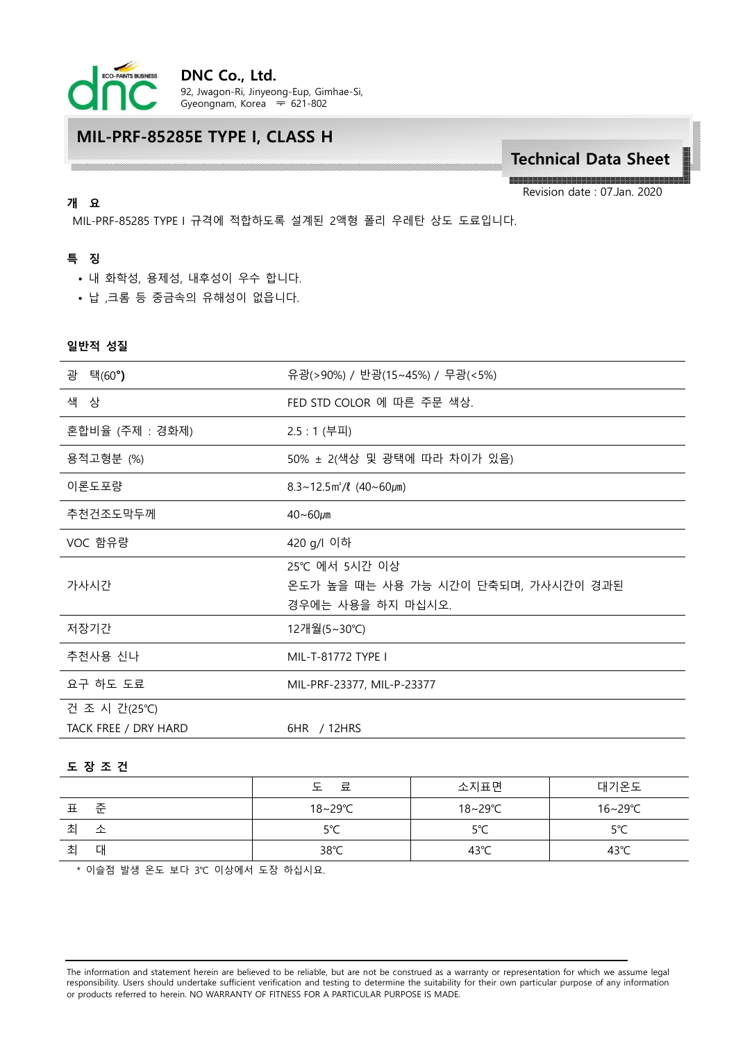

# **MIL-PRF-85285E TYPE I, CLASS H**

# **Technical Data Sheet**

Revision date : 07.Jan. 2020

MIL-PRF-85285 TYPE I 규격에 적합하도록 설계된 2액형 폴리 우레탄 상도 도료입니다.

## **특 징**

**개 요**

- 내 화학성, 용제성, 내후성이 우수 합니다.
- 납 ,크롬 등 중금속의 유해성이 없읍니다.

#### **일반적 성질**

| 광<br>택(60 <b>°)</b>                  | 유광(>90%) / 반광(15~45%) / 무광(<5%)                                           |  |  |
|--------------------------------------|---------------------------------------------------------------------------|--|--|
| 색 상                                  | FED STD COLOR 에 따른 주문 색상.                                                 |  |  |
| 혼합비율 (주제 : 경화제)                      | 2.5 : 1 (부피)                                                              |  |  |
| 용적고형분 (%)                            | 50% ± 2(색상 및 광택에 따라 차이가 있음)                                               |  |  |
| 이론도포량                                | $8.3 \sim 12.5 \,\mathrm{m}^2/\ell \, (40 \sim 60 \,\mathrm{\mu m})$      |  |  |
| 추천건조도막두께                             | $40 - 60 \mu m$                                                           |  |  |
| VOC 함유량                              | 420 g/l 이하                                                                |  |  |
| 가사시간                                 | 25℃ 에서 5시간 이상<br>온도가 높을 때는 사용 가능 시간이 단축되며, 가사시간이 경과된<br>경우에는 사용을 하지 마십시오. |  |  |
| 저장기간                                 | 12개월(5∼30℃)                                                               |  |  |
| 추천사용 신나                              | MIL-T-81772 TYPE I                                                        |  |  |
| 요구 하도 도료                             | MIL-PRF-23377, MIL-P-23377                                                |  |  |
| 건 조 시 간(25℃)<br>TACK FREE / DRY HARD | 6HR / 12HRS                                                               |  |  |

#### **도 장 조 건**

|        | 료      | 소지표면    | 대기온도           |
|--------|--------|---------|----------------|
| 준<br>표 | 18~29℃ | 18~29°C | 16∼29℃         |
| 초<br>소 | 5°C    | 5°C     | 5°C            |
| 坴<br>대 | 38°C   | 43°C    | $43^{\circ}$ C |

\* 이슬점 발생 온도 보다 3℃ 이상에서 도장 하십시요.

The information and statement herein are believed to be reliable, but are not be construed as a warranty or representation for which we assume legal responsibility. Users should undertake sufficient verification and testing to determine the suitability for their own particular purpose of any information or products referred to herein. NO WARRANTY OF FITNESS FOR A PARTICULAR PURPOSE IS MADE.